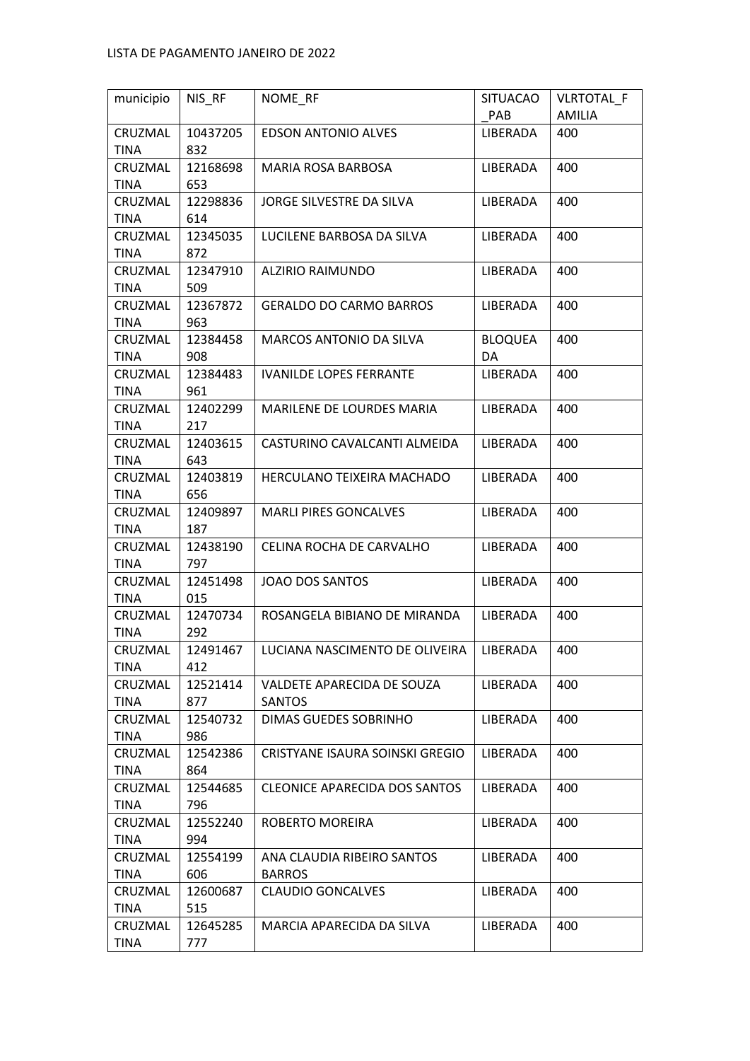| municipio       | NIS_RF          | NOME RF                              | <b>SITUACAO</b> | VLRTOTAL_F |
|-----------------|-----------------|--------------------------------------|-----------------|------------|
|                 |                 |                                      | PAB             | AMILIA     |
| CRUZMAL         | 10437205        | <b>EDSON ANTONIO ALVES</b>           | LIBERADA        | 400        |
| <b>TINA</b>     | 832             |                                      |                 |            |
| CRUZMAL         | 12168698        | MARIA ROSA BARBOSA                   | LIBERADA        | 400        |
| <b>TINA</b>     | 653             |                                      |                 |            |
| CRUZMAL         | 12298836        | JORGE SILVESTRE DA SILVA             | LIBERADA        | 400        |
| <b>TINA</b>     | 614             |                                      |                 |            |
| CRUZMAL         | 12345035        | LUCILENE BARBOSA DA SILVA            | LIBERADA        | 400        |
| <b>TINA</b>     | 872             |                                      |                 |            |
| CRUZMAL         | 12347910        | <b>ALZIRIO RAIMUNDO</b>              | LIBERADA        | 400        |
| <b>TINA</b>     | 509             |                                      |                 |            |
| CRUZMAL         | 12367872        | <b>GERALDO DO CARMO BARROS</b>       | LIBERADA        | 400        |
| <b>TINA</b>     | 963             |                                      |                 |            |
| CRUZMAL         | 12384458        | MARCOS ANTONIO DA SILVA              | <b>BLOQUEA</b>  | 400        |
| <b>TINA</b>     | 908             |                                      | DA              |            |
| CRUZMAL         | 12384483        | <b>IVANILDE LOPES FERRANTE</b>       | LIBERADA        | 400        |
| <b>TINA</b>     | 961             |                                      |                 |            |
| CRUZMAL         | 12402299        | MARILENE DE LOURDES MARIA            | LIBERADA        | 400        |
| <b>TINA</b>     | 217             |                                      |                 |            |
| CRUZMAL         | 12403615        | CASTURINO CAVALCANTI ALMEIDA         | LIBERADA        | 400        |
| <b>TINA</b>     | 643             |                                      |                 |            |
| CRUZMAL         | 12403819        | HERCULANO TEIXEIRA MACHADO           | LIBERADA        | 400        |
| <b>TINA</b>     | 656             |                                      |                 |            |
| CRUZMAL         | 12409897        | <b>MARLI PIRES GONCALVES</b>         | LIBERADA        | 400        |
| <b>TINA</b>     | 187             |                                      |                 |            |
| CRUZMAL         | 12438190        | CELINA ROCHA DE CARVALHO             | LIBERADA        | 400        |
| <b>TINA</b>     | 797             |                                      |                 |            |
| CRUZMAL         | 12451498        | <b>JOAO DOS SANTOS</b>               | LIBERADA        | 400        |
| <b>TINA</b>     | 015             |                                      |                 |            |
| CRUZMAL         | 12470734<br>292 | ROSANGELA BIBIANO DE MIRANDA         | LIBERADA        | 400        |
| <b>TINA</b>     | 12491467        | LUCIANA NASCIMENTO DE OLIVEIRA       |                 |            |
| CRUZMAL<br>TINA | 412             |                                      | LIBERADA        | 400        |
| CRUZMAL         | 12521414        | VALDETE APARECIDA DE SOUZA           | LIBERADA        | 400        |
| TINA            | 877             | SANTOS                               |                 |            |
| CRUZMAL         | 12540732        | DIMAS GUEDES SOBRINHO                | LIBERADA        | 400        |
| <b>TINA</b>     | 986             |                                      |                 |            |
| CRUZMAL         | 12542386        | CRISTYANE ISAURA SOINSKI GREGIO      | LIBERADA        | 400        |
| <b>TINA</b>     | 864             |                                      |                 |            |
| CRUZMAL         | 12544685        | <b>CLEONICE APARECIDA DOS SANTOS</b> | LIBERADA        | 400        |
| TINA            | 796             |                                      |                 |            |
| CRUZMAL         | 12552240        | ROBERTO MOREIRA                      | LIBERADA        | 400        |
| <b>TINA</b>     | 994             |                                      |                 |            |
| CRUZMAL         | 12554199        | ANA CLAUDIA RIBEIRO SANTOS           | LIBERADA        | 400        |
| <b>TINA</b>     | 606             | <b>BARROS</b>                        |                 |            |
| CRUZMAL         | 12600687        | <b>CLAUDIO GONCALVES</b>             | LIBERADA        | 400        |
| TINA            | 515             |                                      |                 |            |
| CRUZMAL         | 12645285        | MARCIA APARECIDA DA SILVA            | LIBERADA        | 400        |
| TINA            | 777             |                                      |                 |            |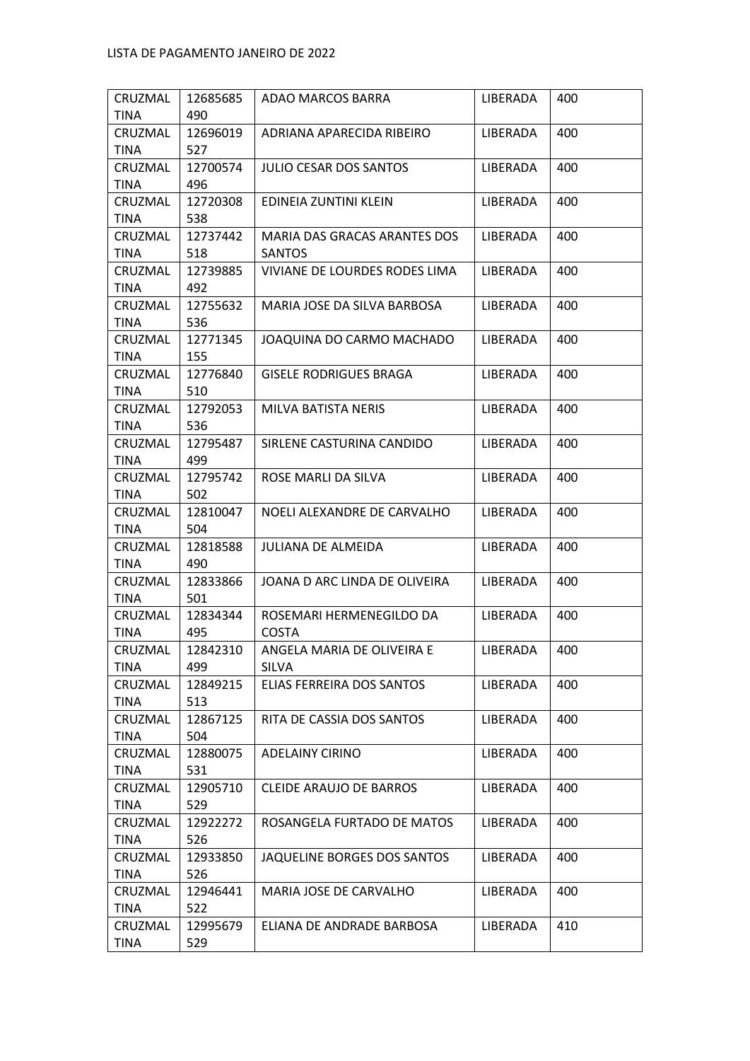| CRUZMAL     | 12685685 | ADAO MARCOS BARRA              | LIBERADA | 400 |
|-------------|----------|--------------------------------|----------|-----|
| <b>TINA</b> | 490      |                                |          |     |
| CRUZMAL     | 12696019 | ADRIANA APARECIDA RIBEIRO      | LIBERADA | 400 |
| <b>TINA</b> | 527      |                                |          |     |
| CRUZMAL     | 12700574 | <b>JULIO CESAR DOS SANTOS</b>  | LIBERADA | 400 |
| <b>TINA</b> | 496      |                                |          |     |
| CRUZMAL     | 12720308 | EDINEIA ZUNTINI KLEIN          | LIBERADA | 400 |
| TINA        | 538      |                                |          |     |
| CRUZMAL     | 12737442 | MARIA DAS GRACAS ARANTES DOS   | LIBERADA | 400 |
| TINA        | 518      | <b>SANTOS</b>                  |          |     |
| CRUZMAL     | 12739885 | VIVIANE DE LOURDES RODES LIMA  | LIBERADA | 400 |
| TINA        | 492      |                                |          |     |
| CRUZMAL     | 12755632 | MARIA JOSE DA SILVA BARBOSA    | LIBERADA | 400 |
| <b>TINA</b> | 536      |                                |          |     |
| CRUZMAL     | 12771345 | JOAQUINA DO CARMO MACHADO      | LIBERADA | 400 |
| <b>TINA</b> | 155      |                                |          |     |
| CRUZMAL     | 12776840 | <b>GISELE RODRIGUES BRAGA</b>  | LIBERADA | 400 |
| TINA        | 510      |                                |          |     |
| CRUZMAL     | 12792053 | MILVA BATISTA NERIS            | LIBERADA | 400 |
| <b>TINA</b> | 536      |                                |          |     |
| CRUZMAL     | 12795487 | SIRLENE CASTURINA CANDIDO      | LIBERADA | 400 |
| TINA        | 499      |                                |          |     |
| CRUZMAL     | 12795742 | ROSE MARLI DA SILVA            | LIBERADA | 400 |
| TINA        | 502      |                                |          |     |
| CRUZMAL     | 12810047 | NOELI ALEXANDRE DE CARVALHO    | LIBERADA | 400 |
| <b>TINA</b> | 504      |                                |          |     |
| CRUZMAL     | 12818588 | JULIANA DE ALMEIDA             | LIBERADA | 400 |
| <b>TINA</b> | 490      |                                |          |     |
| CRUZMAL     | 12833866 | JOANA D ARC LINDA DE OLIVEIRA  | LIBERADA | 400 |
| TINA        | 501      |                                |          |     |
| CRUZMAL     | 12834344 | ROSEMARI HERMENEGILDO DA       | LIBERADA | 400 |
| <b>TINA</b> | 495      | <b>COSTA</b>                   |          |     |
| CRUZMAL     | 12842310 | ANGELA MARIA DE OLIVEIRA E     | LIBERADA | 400 |
| TINA        | 499      | SILVA                          |          |     |
| CRUZMAL     | 12849215 | ELIAS FERREIRA DOS SANTOS      | LIBERADA | 400 |
| TINA        | 513      |                                |          |     |
| CRUZMAL     | 12867125 | RITA DE CASSIA DOS SANTOS      | LIBERADA | 400 |
| <b>TINA</b> | 504      |                                |          |     |
| CRUZMAL     | 12880075 | <b>ADELAINY CIRINO</b>         | LIBERADA | 400 |
| TINA        | 531      |                                |          |     |
| CRUZMAL     | 12905710 | <b>CLEIDE ARAUJO DE BARROS</b> | LIBERADA | 400 |
| TINA        | 529      |                                |          |     |
| CRUZMAL     | 12922272 | ROSANGELA FURTADO DE MATOS     | LIBERADA | 400 |
| <b>TINA</b> | 526      |                                |          |     |
| CRUZMAL     | 12933850 | JAQUELINE BORGES DOS SANTOS    | LIBERADA | 400 |
| <b>TINA</b> | 526      |                                |          |     |
| CRUZMAL     | 12946441 | MARIA JOSE DE CARVALHO         | LIBERADA | 400 |
| TINA        | 522      |                                |          |     |
| CRUZMAL     | 12995679 | ELIANA DE ANDRADE BARBOSA      | LIBERADA | 410 |
| TINA        | 529      |                                |          |     |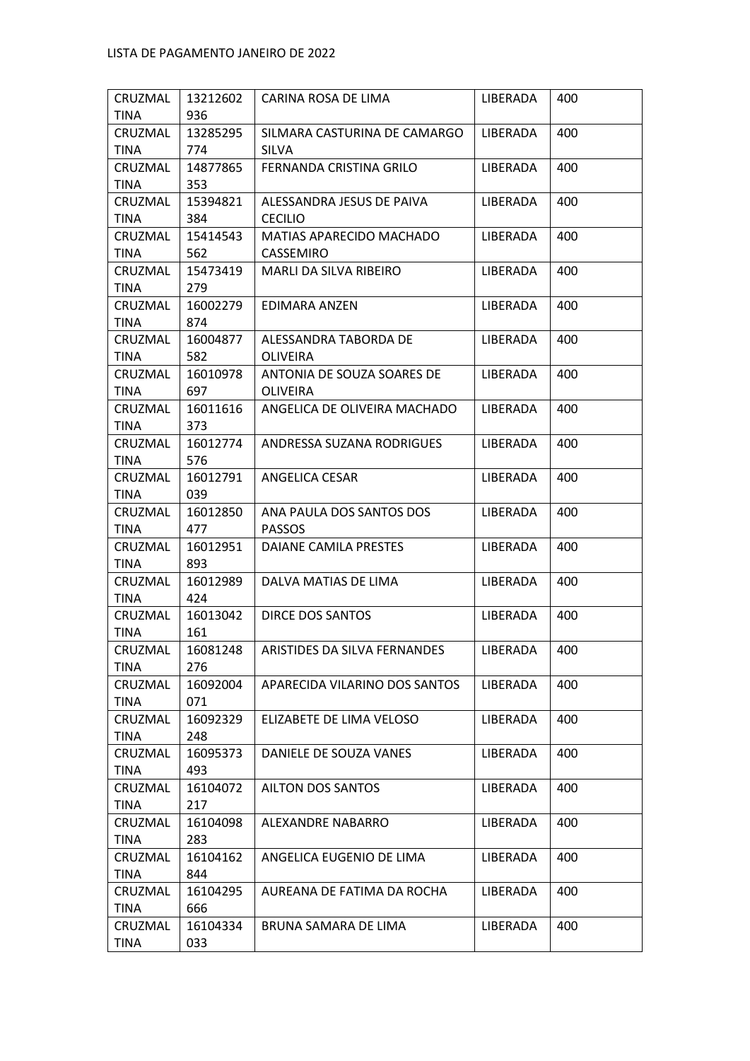| CRUZMAL         | 13212602        | CARINA ROSA DE LIMA                   | LIBERADA | 400 |
|-----------------|-----------------|---------------------------------------|----------|-----|
| <b>TINA</b>     | 936             |                                       |          |     |
| CRUZMAL         | 13285295        | SILMARA CASTURINA DE CAMARGO          | LIBERADA | 400 |
| TINA            | 774             | SILVA                                 |          |     |
| CRUZMAL         | 14877865        | FERNANDA CRISTINA GRILO               | LIBERADA | 400 |
| <b>TINA</b>     | 353             |                                       |          |     |
| CRUZMAL         | 15394821        | ALESSANDRA JESUS DE PAIVA             | LIBERADA | 400 |
| <b>TINA</b>     | 384             | <b>CECILIO</b>                        |          |     |
| CRUZMAL<br>TINA | 15414543<br>562 | MATIAS APARECIDO MACHADO<br>CASSEMIRO | LIBERADA | 400 |
| CRUZMAL         | 15473419        | MARLI DA SILVA RIBEIRO                | LIBERADA | 400 |
| <b>TINA</b>     | 279             |                                       |          |     |
| CRUZMAL         | 16002279        | EDIMARA ANZEN                         | LIBERADA | 400 |
| <b>TINA</b>     | 874             |                                       |          |     |
| CRUZMAL         | 16004877        | ALESSANDRA TABORDA DE                 | LIBERADA | 400 |
| TINA            | 582             | <b>OLIVEIRA</b>                       |          |     |
| CRUZMAL         | 16010978        | ANTONIA DE SOUZA SOARES DE            | LIBERADA | 400 |
| TINA            | 697             | <b>OLIVEIRA</b>                       |          |     |
| CRUZMAL         | 16011616        | ANGELICA DE OLIVEIRA MACHADO          | LIBERADA | 400 |
| <b>TINA</b>     | 373             |                                       |          |     |
| CRUZMAL         | 16012774        | ANDRESSA SUZANA RODRIGUES             | LIBERADA | 400 |
| TINA            | 576             |                                       |          |     |
| CRUZMAL         | 16012791        | ANGELICA CESAR                        | LIBERADA | 400 |
| TINA            | 039             |                                       |          |     |
| CRUZMAL         | 16012850        | ANA PAULA DOS SANTOS DOS              | LIBERADA | 400 |
| <b>TINA</b>     | 477             | PASSOS                                |          |     |
| CRUZMAL         | 16012951        | DAIANE CAMILA PRESTES                 | LIBERADA | 400 |
| <b>TINA</b>     | 893             |                                       |          |     |
| CRUZMAL         | 16012989        | DALVA MATIAS DE LIMA                  | LIBERADA | 400 |
| <b>TINA</b>     | 424             |                                       |          |     |
| CRUZMAL         | 16013042        | <b>DIRCE DOS SANTOS</b>               | LIBERADA | 400 |
| TINA            | 161             |                                       |          |     |
| CRUZMAL         | 16081248        | ARISTIDES DA SILVA FERNANDES          | LIBERADA | 400 |
| <b>TINA</b>     | 276             |                                       |          |     |
| CRUZMAL         | 16092004        | APARECIDA VILARINO DOS SANTOS         | LIBERADA | 400 |
| <b>TINA</b>     | 071             |                                       |          |     |
| CRUZMAL         | 16092329        | ELIZABETE DE LIMA VELOSO              | LIBERADA | 400 |
| <b>TINA</b>     | 248             |                                       |          |     |
| CRUZMAL         | 16095373        | DANIELE DE SOUZA VANES                | LIBERADA | 400 |
| <b>TINA</b>     | 493             |                                       |          |     |
| CRUZMAL         | 16104072        | AILTON DOS SANTOS                     | LIBERADA | 400 |
| TINA            | 217             |                                       |          |     |
| CRUZMAL         | 16104098        | ALEXANDRE NABARRO                     | LIBERADA | 400 |
| <b>TINA</b>     | 283             |                                       |          |     |
| CRUZMAL         | 16104162        | ANGELICA EUGENIO DE LIMA              | LIBERADA | 400 |
| <b>TINA</b>     | 844             |                                       |          |     |
| CRUZMAL         | 16104295        | AUREANA DE FATIMA DA ROCHA            | LIBERADA | 400 |
| TINA            | 666             |                                       |          |     |
| CRUZMAL         | 16104334        | BRUNA SAMARA DE LIMA                  | LIBERADA | 400 |
| TINA            | 033             |                                       |          |     |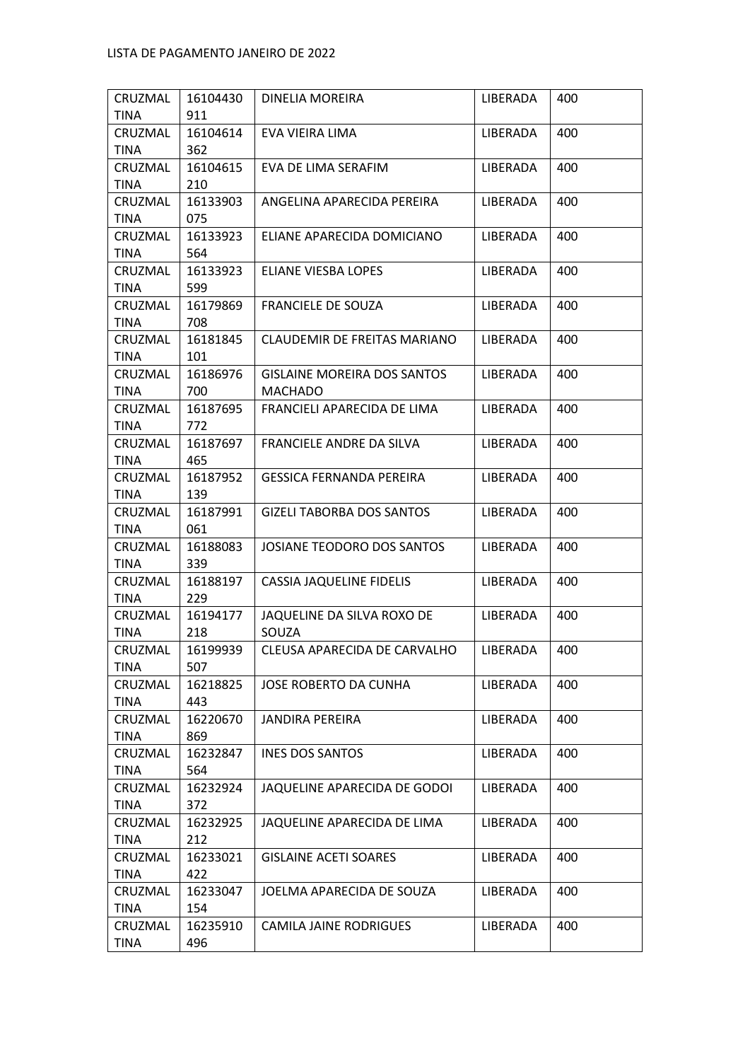| CRUZMAL     | 16104430 | DINELIA MOREIRA                     | LIBERADA | 400 |
|-------------|----------|-------------------------------------|----------|-----|
| <b>TINA</b> | 911      |                                     |          |     |
| CRUZMAL     | 16104614 | EVA VIEIRA LIMA                     | LIBERADA | 400 |
| <b>TINA</b> | 362      |                                     |          |     |
| CRUZMAL     | 16104615 | EVA DE LIMA SERAFIM                 | LIBERADA | 400 |
| <b>TINA</b> | 210      |                                     |          |     |
| CRUZMAL     | 16133903 | ANGELINA APARECIDA PEREIRA          | LIBERADA | 400 |
| <b>TINA</b> | 075      |                                     |          |     |
| CRUZMAL     | 16133923 | ELIANE APARECIDA DOMICIANO          | LIBERADA | 400 |
| TINA        | 564      |                                     |          |     |
| CRUZMAL     | 16133923 | ELIANE VIESBA LOPES                 | LIBERADA | 400 |
| <b>TINA</b> | 599      |                                     |          |     |
| CRUZMAL     | 16179869 | <b>FRANCIELE DE SOUZA</b>           | LIBERADA | 400 |
| <b>TINA</b> | 708      |                                     |          |     |
| CRUZMAL     | 16181845 | <b>CLAUDEMIR DE FREITAS MARIANO</b> | LIBERADA | 400 |
| TINA        | 101      |                                     |          |     |
| CRUZMAL     | 16186976 | <b>GISLAINE MOREIRA DOS SANTOS</b>  | LIBERADA | 400 |
| <b>TINA</b> | 700      | <b>MACHADO</b>                      |          |     |
| CRUZMAL     | 16187695 | FRANCIELI APARECIDA DE LIMA         | LIBERADA | 400 |
| <b>TINA</b> | 772      |                                     |          |     |
| CRUZMAL     | 16187697 | FRANCIELE ANDRE DA SILVA            | LIBERADA | 400 |
| TINA        | 465      |                                     |          |     |
| CRUZMAL     | 16187952 | <b>GESSICA FERNANDA PEREIRA</b>     | LIBERADA | 400 |
| TINA        | 139      |                                     |          |     |
| CRUZMAL     | 16187991 | <b>GIZELI TABORBA DOS SANTOS</b>    | LIBERADA | 400 |
| <b>TINA</b> | 061      |                                     |          |     |
| CRUZMAL     | 16188083 | JOSIANE TEODORO DOS SANTOS          | LIBERADA | 400 |
| <b>TINA</b> | 339      |                                     |          |     |
| CRUZMAL     | 16188197 | <b>CASSIA JAQUELINE FIDELIS</b>     | LIBERADA | 400 |
| TINA        | 229      |                                     |          |     |
| CRUZMAL     | 16194177 | JAQUELINE DA SILVA ROXO DE          | LIBERADA | 400 |
| <b>TINA</b> | 218      | SOUZA                               |          |     |
| CRUZMAL     | 16199939 | CLEUSA APARECIDA DE CARVALHO        | LIBERADA | 400 |
| <b>TINA</b> | 507      |                                     |          |     |
| CRUZMAL     | 16218825 | JOSE ROBERTO DA CUNHA               | LIBERADA | 400 |
| <b>TINA</b> | 443      |                                     |          |     |
| CRUZMAL     | 16220670 | <b>JANDIRA PEREIRA</b>              | LIBERADA | 400 |
| <b>TINA</b> | 869      |                                     |          |     |
| CRUZMAL     | 16232847 | <b>INES DOS SANTOS</b>              | LIBERADA | 400 |
| <b>TINA</b> | 564      |                                     |          |     |
| CRUZMAL     | 16232924 | JAQUELINE APARECIDA DE GODOI        | LIBERADA | 400 |
| TINA        | 372      |                                     |          |     |
| CRUZMAL     | 16232925 | JAQUELINE APARECIDA DE LIMA         | LIBERADA | 400 |
| <b>TINA</b> | 212      |                                     |          |     |
| CRUZMAL     | 16233021 | <b>GISLAINE ACETI SOARES</b>        | LIBERADA | 400 |
| <b>TINA</b> | 422      |                                     |          |     |
| CRUZMAL     | 16233047 | JOELMA APARECIDA DE SOUZA           | LIBERADA | 400 |
| TINA        | 154      |                                     |          |     |
| CRUZMAL     | 16235910 | <b>CAMILA JAINE RODRIGUES</b>       | LIBERADA | 400 |
| TINA        | 496      |                                     |          |     |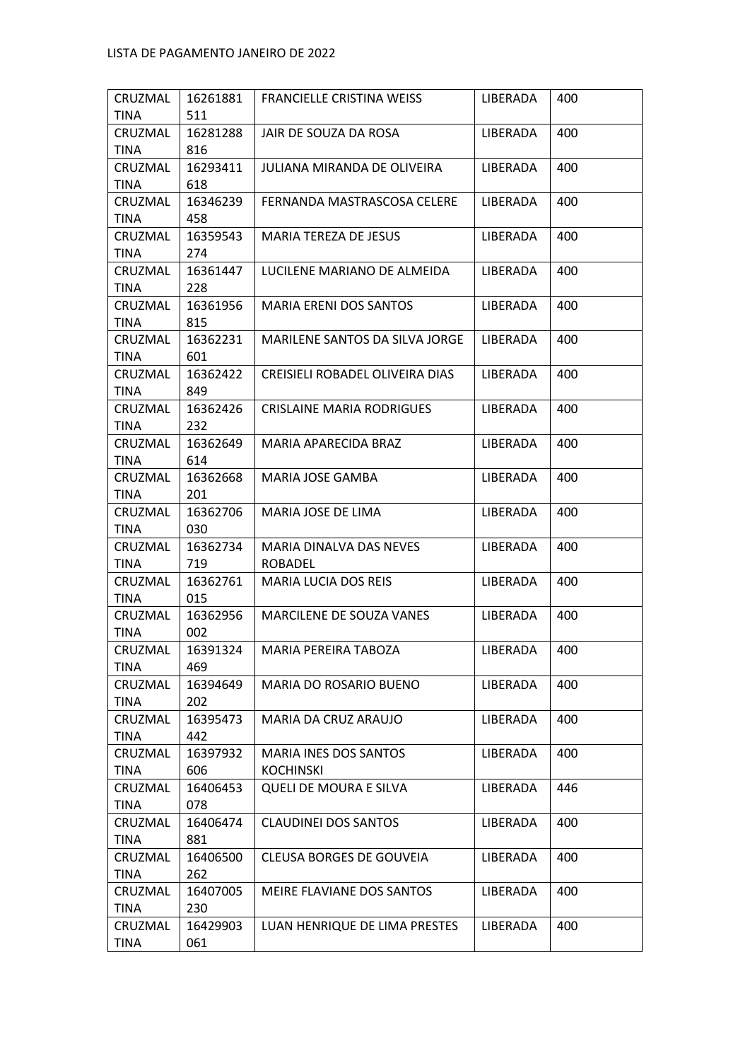|             | 16261881 | FRANCIELLE CRISTINA WEISS        | LIBERADA | 400 |
|-------------|----------|----------------------------------|----------|-----|
| <b>TINA</b> | 511      |                                  |          |     |
| CRUZMAL     | 16281288 | JAIR DE SOUZA DA ROSA            | LIBERADA | 400 |
| TINA        | 816      |                                  |          |     |
| CRUZMAL     | 16293411 | JULIANA MIRANDA DE OLIVEIRA      | LIBERADA | 400 |
| <b>TINA</b> | 618      |                                  |          |     |
| CRUZMAL     | 16346239 | FERNANDA MASTRASCOSA CELERE      | LIBERADA | 400 |
| <b>TINA</b> | 458      |                                  |          |     |
| CRUZMAL     | 16359543 | MARIA TEREZA DE JESUS            | LIBERADA | 400 |
| TINA        | 274      |                                  |          |     |
| CRUZMAL     | 16361447 | LUCILENE MARIANO DE ALMEIDA      | LIBERADA | 400 |
| <b>TINA</b> | 228      |                                  |          |     |
| CRUZMAL     | 16361956 | MARIA ERENI DOS SANTOS           | LIBERADA | 400 |
| <b>TINA</b> | 815      |                                  |          |     |
| CRUZMAL     | 16362231 | MARILENE SANTOS DA SILVA JORGE   | LIBERADA | 400 |
| TINA        | 601      |                                  |          |     |
| CRUZMAL     | 16362422 | CREISIELI ROBADEL OLIVEIRA DIAS  | LIBERADA | 400 |
| TINA        | 849      |                                  |          |     |
| CRUZMAL     | 16362426 | <b>CRISLAINE MARIA RODRIGUES</b> | LIBERADA | 400 |
| <b>TINA</b> | 232      |                                  |          |     |
| CRUZMAL     | 16362649 | MARIA APARECIDA BRAZ             | LIBERADA | 400 |
| <b>TINA</b> | 614      |                                  |          |     |
| CRUZMAL     | 16362668 | MARIA JOSE GAMBA                 | LIBERADA | 400 |
| <b>TINA</b> | 201      |                                  |          |     |
| CRUZMAL     | 16362706 | MARIA JOSE DE LIMA               | LIBERADA | 400 |
| TINA        | 030      |                                  |          |     |
| CRUZMAL     | 16362734 | MARIA DINALVA DAS NEVES          | LIBERADA | 400 |
| <b>TINA</b> | 719      | ROBADEL                          |          |     |
| CRUZMAL     | 16362761 | <b>MARIA LUCIA DOS REIS</b>      | LIBERADA | 400 |
| <b>TINA</b> | 015      |                                  |          |     |
|             |          | MARCILENE DE SOUZA VANES         |          |     |
| CRUZMAL     | 16362956 |                                  | LIBERADA | 400 |
| <b>TINA</b> | 002      |                                  |          |     |
| CRUZMAL     | 16391324 | MARIA PEREIRA TABOZA             | LIBERADA | 400 |
| TINA        | 469      |                                  |          |     |
| CRUZMAL     | 16394649 | <b>MARIA DO ROSARIO BUENO</b>    | LIBERADA | 400 |
| TINA        | 202      |                                  |          |     |
| CRUZMAL     | 16395473 | MARIA DA CRUZ ARAUJO             | LIBERADA | 400 |
| <b>TINA</b> | 442      |                                  |          |     |
| CRUZMAL     | 16397932 | MARIA INES DOS SANTOS            | LIBERADA | 400 |
| TINA        | 606      | <b>KOCHINSKI</b>                 |          |     |
| CRUZMAL     | 16406453 | <b>QUELI DE MOURA E SILVA</b>    | LIBERADA | 446 |
| TINA        | 078      |                                  |          |     |
| CRUZMAL     | 16406474 | <b>CLAUDINEI DOS SANTOS</b>      | LIBERADA | 400 |
| <b>TINA</b> | 881      |                                  |          |     |
| CRUZMAL     | 16406500 | CLEUSA BORGES DE GOUVEIA         | LIBERADA | 400 |
| <b>TINA</b> | 262      |                                  |          |     |
| CRUZMAL     | 16407005 | MEIRE FLAVIANE DOS SANTOS        | LIBERADA | 400 |
| <b>TINA</b> | 230      |                                  |          |     |
| CRUZMAL     | 16429903 | LUAN HENRIQUE DE LIMA PRESTES    | LIBERADA | 400 |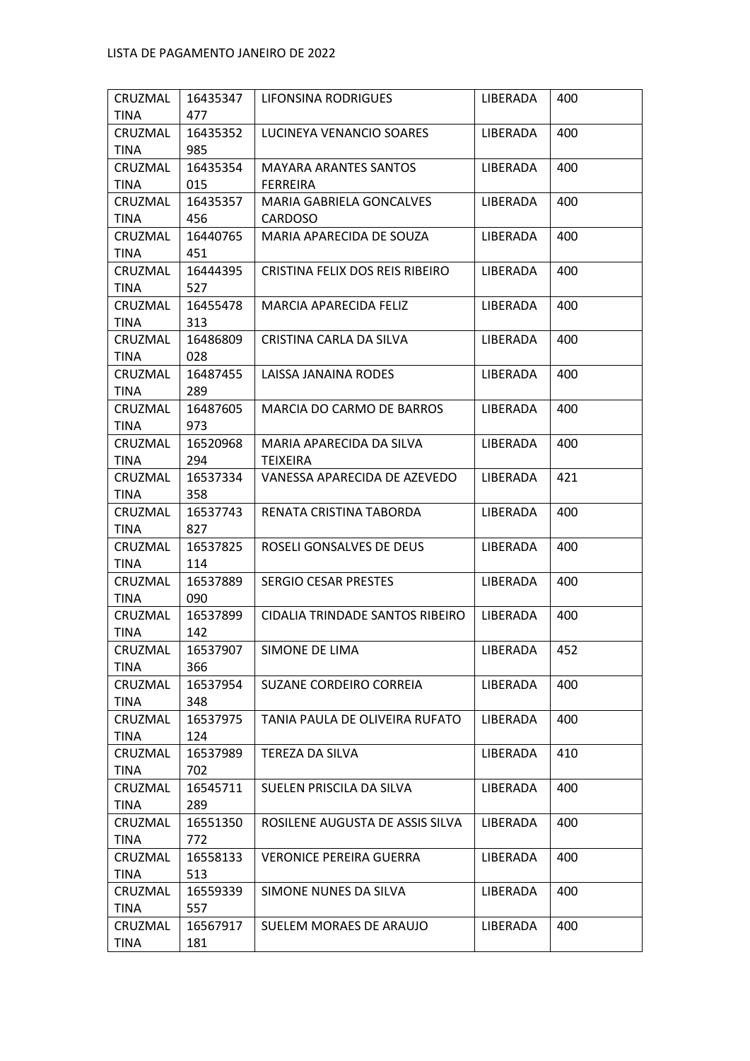| <b>TINA</b><br>477<br>LUCINEYA VENANCIO SOARES<br>400<br>CRUZMAL<br>16435352<br>LIBERADA<br><b>TINA</b><br>985<br>CRUZMAL<br>16435354<br><b>MAYARA ARANTES SANTOS</b><br>LIBERADA<br>400<br><b>TINA</b><br>015<br><b>FERREIRA</b><br>CRUZMAL<br>16435357<br>MARIA GABRIELA GONCALVES<br>LIBERADA<br>400<br><b>TINA</b><br>456<br><b>CARDOSO</b><br>CRUZMAL<br>16440765<br>400<br>MARIA APARECIDA DE SOUZA<br>LIBERADA<br><b>TINA</b><br>451<br>CRISTINA FELIX DOS REIS RIBEIRO<br>400<br>CRUZMAL<br>16444395<br>LIBERADA<br>527<br>TINA<br>CRUZMAL<br>LIBERADA<br>400<br>16455478<br>MARCIA APARECIDA FELIZ<br><b>TINA</b><br>313<br>CRISTINA CARLA DA SILVA<br>400<br>CRUZMAL<br>16486809<br>LIBERADA<br>028<br>TINA<br>CRUZMAL<br>16487455<br>LAISSA JANAINA RODES<br>LIBERADA<br>400<br>TINA<br>289<br>CRUZMAL<br>16487605<br>MARCIA DO CARMO DE BARROS<br>LIBERADA<br>400<br><b>TINA</b><br>973<br>CRUZMAL<br>16520968<br>LIBERADA<br>400<br>MARIA APARECIDA DA SILVA<br>294<br>TINA<br>TEIXEIRA |
|------------------------------------------------------------------------------------------------------------------------------------------------------------------------------------------------------------------------------------------------------------------------------------------------------------------------------------------------------------------------------------------------------------------------------------------------------------------------------------------------------------------------------------------------------------------------------------------------------------------------------------------------------------------------------------------------------------------------------------------------------------------------------------------------------------------------------------------------------------------------------------------------------------------------------------------------------------------------------------------------------|
|                                                                                                                                                                                                                                                                                                                                                                                                                                                                                                                                                                                                                                                                                                                                                                                                                                                                                                                                                                                                      |
|                                                                                                                                                                                                                                                                                                                                                                                                                                                                                                                                                                                                                                                                                                                                                                                                                                                                                                                                                                                                      |
|                                                                                                                                                                                                                                                                                                                                                                                                                                                                                                                                                                                                                                                                                                                                                                                                                                                                                                                                                                                                      |
|                                                                                                                                                                                                                                                                                                                                                                                                                                                                                                                                                                                                                                                                                                                                                                                                                                                                                                                                                                                                      |
|                                                                                                                                                                                                                                                                                                                                                                                                                                                                                                                                                                                                                                                                                                                                                                                                                                                                                                                                                                                                      |
|                                                                                                                                                                                                                                                                                                                                                                                                                                                                                                                                                                                                                                                                                                                                                                                                                                                                                                                                                                                                      |
|                                                                                                                                                                                                                                                                                                                                                                                                                                                                                                                                                                                                                                                                                                                                                                                                                                                                                                                                                                                                      |
|                                                                                                                                                                                                                                                                                                                                                                                                                                                                                                                                                                                                                                                                                                                                                                                                                                                                                                                                                                                                      |
|                                                                                                                                                                                                                                                                                                                                                                                                                                                                                                                                                                                                                                                                                                                                                                                                                                                                                                                                                                                                      |
|                                                                                                                                                                                                                                                                                                                                                                                                                                                                                                                                                                                                                                                                                                                                                                                                                                                                                                                                                                                                      |
|                                                                                                                                                                                                                                                                                                                                                                                                                                                                                                                                                                                                                                                                                                                                                                                                                                                                                                                                                                                                      |
|                                                                                                                                                                                                                                                                                                                                                                                                                                                                                                                                                                                                                                                                                                                                                                                                                                                                                                                                                                                                      |
|                                                                                                                                                                                                                                                                                                                                                                                                                                                                                                                                                                                                                                                                                                                                                                                                                                                                                                                                                                                                      |
|                                                                                                                                                                                                                                                                                                                                                                                                                                                                                                                                                                                                                                                                                                                                                                                                                                                                                                                                                                                                      |
|                                                                                                                                                                                                                                                                                                                                                                                                                                                                                                                                                                                                                                                                                                                                                                                                                                                                                                                                                                                                      |
|                                                                                                                                                                                                                                                                                                                                                                                                                                                                                                                                                                                                                                                                                                                                                                                                                                                                                                                                                                                                      |
|                                                                                                                                                                                                                                                                                                                                                                                                                                                                                                                                                                                                                                                                                                                                                                                                                                                                                                                                                                                                      |
|                                                                                                                                                                                                                                                                                                                                                                                                                                                                                                                                                                                                                                                                                                                                                                                                                                                                                                                                                                                                      |
|                                                                                                                                                                                                                                                                                                                                                                                                                                                                                                                                                                                                                                                                                                                                                                                                                                                                                                                                                                                                      |
|                                                                                                                                                                                                                                                                                                                                                                                                                                                                                                                                                                                                                                                                                                                                                                                                                                                                                                                                                                                                      |
|                                                                                                                                                                                                                                                                                                                                                                                                                                                                                                                                                                                                                                                                                                                                                                                                                                                                                                                                                                                                      |
| CRUZMAL<br>16537334<br>VANESSA APARECIDA DE AZEVEDO<br>LIBERADA<br>421                                                                                                                                                                                                                                                                                                                                                                                                                                                                                                                                                                                                                                                                                                                                                                                                                                                                                                                               |
| 358<br>TINA                                                                                                                                                                                                                                                                                                                                                                                                                                                                                                                                                                                                                                                                                                                                                                                                                                                                                                                                                                                          |
| RENATA CRISTINA TABORDA<br>CRUZMAL<br>400<br>16537743<br>LIBERADA                                                                                                                                                                                                                                                                                                                                                                                                                                                                                                                                                                                                                                                                                                                                                                                                                                                                                                                                    |
| <b>TINA</b><br>827                                                                                                                                                                                                                                                                                                                                                                                                                                                                                                                                                                                                                                                                                                                                                                                                                                                                                                                                                                                   |
| CRUZMAL<br>16537825<br>ROSELI GONSALVES DE DEUS<br>400<br>LIBERADA                                                                                                                                                                                                                                                                                                                                                                                                                                                                                                                                                                                                                                                                                                                                                                                                                                                                                                                                   |
| <b>TINA</b><br>114                                                                                                                                                                                                                                                                                                                                                                                                                                                                                                                                                                                                                                                                                                                                                                                                                                                                                                                                                                                   |
| 16537889<br><b>SERGIO CESAR PRESTES</b><br>LIBERADA<br>400<br>CRUZMAL                                                                                                                                                                                                                                                                                                                                                                                                                                                                                                                                                                                                                                                                                                                                                                                                                                                                                                                                |
| 090<br><b>TINA</b>                                                                                                                                                                                                                                                                                                                                                                                                                                                                                                                                                                                                                                                                                                                                                                                                                                                                                                                                                                                   |
| CIDALIA TRINDADE SANTOS RIBEIRO<br>CRUZMAL<br>16537899<br>LIBERADA<br>400                                                                                                                                                                                                                                                                                                                                                                                                                                                                                                                                                                                                                                                                                                                                                                                                                                                                                                                            |
| TINA<br>142                                                                                                                                                                                                                                                                                                                                                                                                                                                                                                                                                                                                                                                                                                                                                                                                                                                                                                                                                                                          |
| 452<br>16537907<br>CRUZMAL<br>SIMONE DE LIMA<br>LIBERADA                                                                                                                                                                                                                                                                                                                                                                                                                                                                                                                                                                                                                                                                                                                                                                                                                                                                                                                                             |
| <b>TINA</b><br>366                                                                                                                                                                                                                                                                                                                                                                                                                                                                                                                                                                                                                                                                                                                                                                                                                                                                                                                                                                                   |
| 400<br>CRUZMAL<br>16537954<br>SUZANE CORDEIRO CORREIA<br>LIBERADA                                                                                                                                                                                                                                                                                                                                                                                                                                                                                                                                                                                                                                                                                                                                                                                                                                                                                                                                    |
| <b>TINA</b><br>348                                                                                                                                                                                                                                                                                                                                                                                                                                                                                                                                                                                                                                                                                                                                                                                                                                                                                                                                                                                   |
| CRUZMAL<br>16537975<br>TANIA PAULA DE OLIVEIRA RUFATO<br>LIBERADA<br>400                                                                                                                                                                                                                                                                                                                                                                                                                                                                                                                                                                                                                                                                                                                                                                                                                                                                                                                             |
| <b>TINA</b><br>124                                                                                                                                                                                                                                                                                                                                                                                                                                                                                                                                                                                                                                                                                                                                                                                                                                                                                                                                                                                   |
| 410<br>CRUZMAL<br>16537989<br>TEREZA DA SILVA<br>LIBERADA                                                                                                                                                                                                                                                                                                                                                                                                                                                                                                                                                                                                                                                                                                                                                                                                                                                                                                                                            |
| <b>TINA</b><br>702                                                                                                                                                                                                                                                                                                                                                                                                                                                                                                                                                                                                                                                                                                                                                                                                                                                                                                                                                                                   |
| 400<br>CRUZMAL<br>16545711<br>SUELEN PRISCILA DA SILVA<br>LIBERADA                                                                                                                                                                                                                                                                                                                                                                                                                                                                                                                                                                                                                                                                                                                                                                                                                                                                                                                                   |
| TINA<br>289                                                                                                                                                                                                                                                                                                                                                                                                                                                                                                                                                                                                                                                                                                                                                                                                                                                                                                                                                                                          |
| ROSILENE AUGUSTA DE ASSIS SILVA<br>CRUZMAL<br>16551350<br>LIBERADA<br>400                                                                                                                                                                                                                                                                                                                                                                                                                                                                                                                                                                                                                                                                                                                                                                                                                                                                                                                            |
| <b>TINA</b><br>772                                                                                                                                                                                                                                                                                                                                                                                                                                                                                                                                                                                                                                                                                                                                                                                                                                                                                                                                                                                   |
| 400<br>CRUZMAL<br>16558133<br><b>VERONICE PEREIRA GUERRA</b><br>LIBERADA                                                                                                                                                                                                                                                                                                                                                                                                                                                                                                                                                                                                                                                                                                                                                                                                                                                                                                                             |
| 513<br><b>TINA</b>                                                                                                                                                                                                                                                                                                                                                                                                                                                                                                                                                                                                                                                                                                                                                                                                                                                                                                                                                                                   |
| CRUZMAL<br>16559339<br>SIMONE NUNES DA SILVA<br>LIBERADA<br>400                                                                                                                                                                                                                                                                                                                                                                                                                                                                                                                                                                                                                                                                                                                                                                                                                                                                                                                                      |
| 557<br>TINA                                                                                                                                                                                                                                                                                                                                                                                                                                                                                                                                                                                                                                                                                                                                                                                                                                                                                                                                                                                          |
| SUELEM MORAES DE ARAUJO<br>400<br>CRUZMAL<br>16567917<br>LIBERADA                                                                                                                                                                                                                                                                                                                                                                                                                                                                                                                                                                                                                                                                                                                                                                                                                                                                                                                                    |
| 181<br>TINA                                                                                                                                                                                                                                                                                                                                                                                                                                                                                                                                                                                                                                                                                                                                                                                                                                                                                                                                                                                          |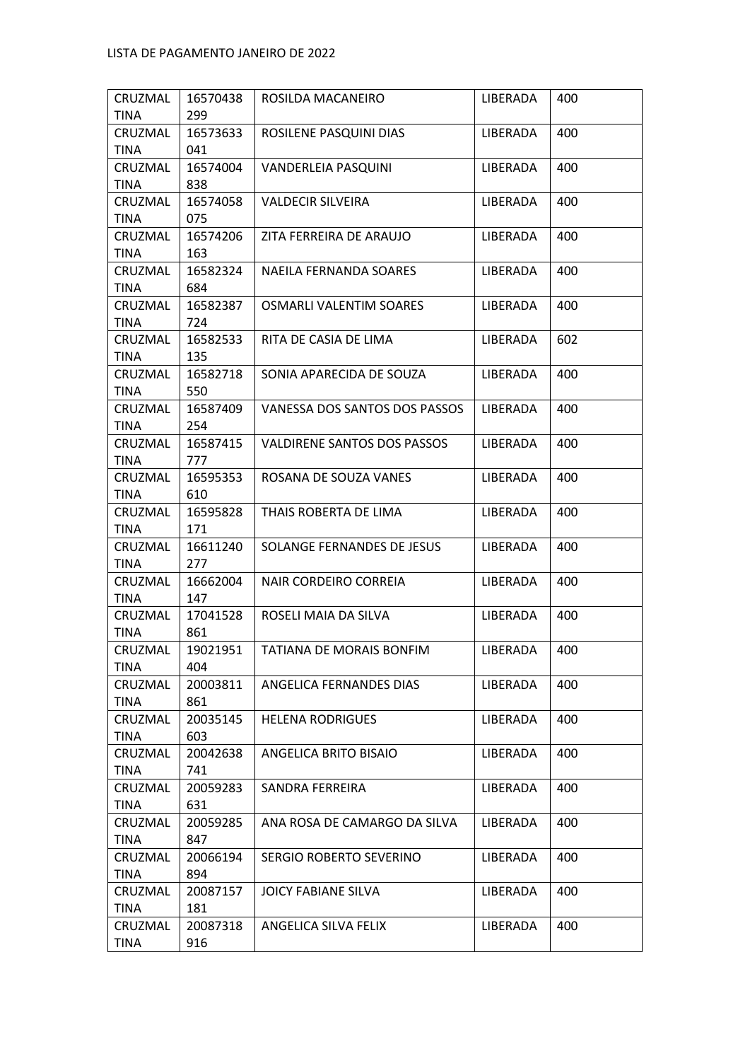| CRUZMAL         | 16570438        | ROSILDA MACANEIRO              | LIBERADA | 400 |
|-----------------|-----------------|--------------------------------|----------|-----|
| <b>TINA</b>     | 299             |                                |          |     |
| CRUZMAL         | 16573633        | ROSILENE PASQUINI DIAS         | LIBERADA | 400 |
| <b>TINA</b>     | 041             |                                |          |     |
| CRUZMAL         | 16574004        | VANDERLEIA PASQUINI            | LIBERADA | 400 |
| <b>TINA</b>     | 838             |                                |          |     |
| CRUZMAL         | 16574058        | <b>VALDECIR SILVEIRA</b>       | LIBERADA | 400 |
| TINA            | 075             |                                |          |     |
| CRUZMAL         | 16574206        | ZITA FERREIRA DE ARAUJO        | LIBERADA | 400 |
| TINA            | 163             |                                |          |     |
| CRUZMAL         | 16582324        | NAEILA FERNANDA SOARES         | LIBERADA | 400 |
| <b>TINA</b>     | 684             |                                |          |     |
| CRUZMAL         | 16582387        | <b>OSMARLI VALENTIM SOARES</b> | LIBERADA | 400 |
| <b>TINA</b>     | 724             |                                |          |     |
| CRUZMAL         | 16582533        | RITA DE CASIA DE LIMA          | LIBERADA | 602 |
| TINA            | 135             |                                |          |     |
| CRUZMAL         | 16582718        | SONIA APARECIDA DE SOUZA       | LIBERADA | 400 |
| TINA            | 550             |                                |          |     |
| CRUZMAL         | 16587409        | VANESSA DOS SANTOS DOS PASSOS  | LIBERADA | 400 |
| <b>TINA</b>     | 254             |                                |          |     |
| CRUZMAL         | 16587415        | VALDIRENE SANTOS DOS PASSOS    | LIBERADA | 400 |
| <b>TINA</b>     | 777             |                                |          |     |
| CRUZMAL         | 16595353        | ROSANA DE SOUZA VANES          | LIBERADA | 400 |
| TINA            | 610             |                                |          |     |
| CRUZMAL         | 16595828        | THAIS ROBERTA DE LIMA          | LIBERADA | 400 |
| <b>TINA</b>     | 171             |                                |          |     |
| CRUZMAL         | 16611240        | SOLANGE FERNANDES DE JESUS     | LIBERADA | 400 |
| <b>TINA</b>     | 277             |                                |          |     |
| CRUZMAL         | 16662004        | NAIR CORDEIRO CORREIA          | LIBERADA | 400 |
| <b>TINA</b>     | 147             |                                |          |     |
| CRUZMAL         | 17041528        | ROSELI MAIA DA SILVA           | LIBERADA | 400 |
| <b>TINA</b>     | 861             |                                |          |     |
| CRUZMAL         | 19021951        | TATIANA DE MORAIS BONFIM       | LIBERADA | 400 |
| TINA            | 404             |                                |          |     |
| CRUZMAL         | 20003811<br>861 | ANGELICA FERNANDES DIAS        | LIBERADA | 400 |
| TINA<br>CRUZMAL | 20035145        | <b>HELENA RODRIGUES</b>        | LIBERADA | 400 |
| <b>TINA</b>     | 603             |                                |          |     |
| CRUZMAL         | 20042638        | ANGELICA BRITO BISAIO          | LIBERADA | 400 |
| <b>TINA</b>     | 741             |                                |          |     |
| CRUZMAL         | 20059283        | SANDRA FERREIRA                | LIBERADA | 400 |
| TINA            | 631             |                                |          |     |
| CRUZMAL         | 20059285        | ANA ROSA DE CAMARGO DA SILVA   | LIBERADA | 400 |
| <b>TINA</b>     | 847             |                                |          |     |
| CRUZMAL         | 20066194        | SERGIO ROBERTO SEVERINO        | LIBERADA | 400 |
| <b>TINA</b>     | 894             |                                |          |     |
| CRUZMAL         | 20087157        | JOICY FABIANE SILVA            | LIBERADA | 400 |
| TINA            | 181             |                                |          |     |
| CRUZMAL         | 20087318        | ANGELICA SILVA FELIX           | LIBERADA | 400 |
| TINA            | 916             |                                |          |     |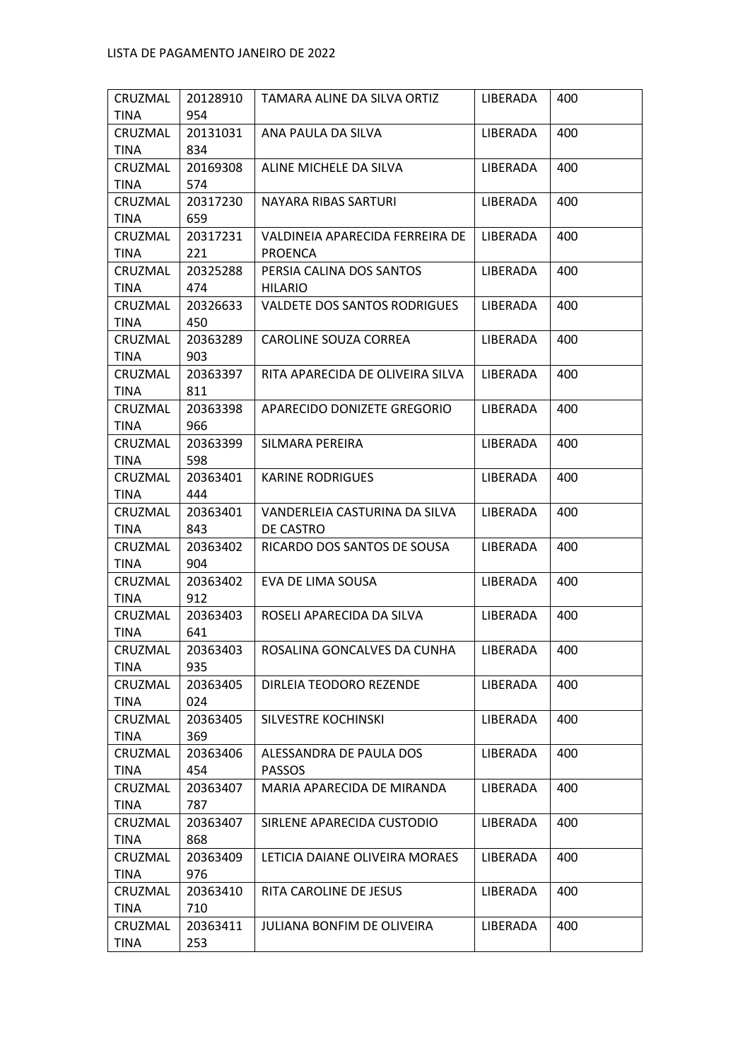| CRUZMAL     | 20128910        | TAMARA ALINE DA SILVA ORTIZ         | LIBERADA | 400 |
|-------------|-----------------|-------------------------------------|----------|-----|
| <b>TINA</b> | 954             |                                     |          |     |
| CRUZMAL     | 20131031        | ANA PAULA DA SILVA                  | LIBERADA | 400 |
| TINA        | 834             |                                     |          |     |
| CRUZMAL     | 20169308        | ALINE MICHELE DA SILVA              | LIBERADA | 400 |
| <b>TINA</b> | 574             |                                     |          |     |
| CRUZMAL     | 20317230        | NAYARA RIBAS SARTURI                | LIBERADA | 400 |
| <b>TINA</b> | 659             |                                     |          |     |
| CRUZMAL     | 20317231        | VALDINEIA APARECIDA FERREIRA DE     | LIBERADA | 400 |
| TINA        | 221             | PROENCA                             |          |     |
| CRUZMAL     | 20325288        | PERSIA CALINA DOS SANTOS            | LIBERADA | 400 |
| <b>TINA</b> | 474             | HILARIO                             |          |     |
| CRUZMAL     | 20326633        | <b>VALDETE DOS SANTOS RODRIGUES</b> | LIBERADA | 400 |
| <b>TINA</b> | 450             |                                     |          |     |
| CRUZMAL     | 20363289        | CAROLINE SOUZA CORREA               | LIBERADA | 400 |
| TINA        | 903             |                                     |          |     |
| CRUZMAL     | 20363397        | RITA APARECIDA DE OLIVEIRA SILVA    | LIBERADA | 400 |
| TINA        | 811             |                                     |          |     |
| CRUZMAL     | 20363398        | APARECIDO DONIZETE GREGORIO         | LIBERADA | 400 |
| <b>TINA</b> | 966             |                                     |          |     |
| CRUZMAL     | 20363399        | SILMARA PEREIRA                     | LIBERADA | 400 |
| <b>TINA</b> | 598             |                                     |          |     |
| CRUZMAL     | 20363401        | <b>KARINE RODRIGUES</b>             | LIBERADA | 400 |
| <b>TINA</b> | 444             |                                     |          |     |
| CRUZMAL     | 20363401        | VANDERLEIA CASTURINA DA SILVA       | LIBERADA | 400 |
| TINA        | 843             | DE CASTRO                           |          |     |
| CRUZMAL     | 20363402        | RICARDO DOS SANTOS DE SOUSA         | LIBERADA | 400 |
| <b>TINA</b> | 904             |                                     |          |     |
| CRUZMAL     | 20363402        | EVA DE LIMA SOUSA                   | LIBERADA | 400 |
| <b>TINA</b> | 912             |                                     |          |     |
| CRUZMAL     | 20363403        | ROSELI APARECIDA DA SILVA           | LIBERADA | 400 |
| TINA        | 641             |                                     |          |     |
| CRUZMAL     | 20363403        | ROSALINA GONCALVES DA CUNHA         | LIBERADA | 400 |
| TINA        | 935             |                                     |          |     |
| CRUZMAL     | 20363405        | DIRLEIA TEODORO REZENDE             | LIBERADA | 400 |
| TINA        | 024             |                                     |          |     |
| CRUZMAL     | 20363405        | SILVESTRE KOCHINSKI                 | LIBERADA | 400 |
| <b>TINA</b> | 369             |                                     |          |     |
| CRUZMAL     | 20363406        | ALESSANDRA DE PAULA DOS             | LIBERADA | 400 |
| <b>TINA</b> | 454             | <b>PASSOS</b>                       |          |     |
| CRUZMAL     | 20363407        | MARIA APARECIDA DE MIRANDA          | LIBERADA | 400 |
| TINA        | 787             |                                     |          |     |
| CRUZMAL     | 20363407        | SIRLENE APARECIDA CUSTODIO          | LIBERADA | 400 |
| <b>TINA</b> | 868             |                                     |          |     |
| CRUZMAL     | 20363409        | LETICIA DAIANE OLIVEIRA MORAES      | LIBERADA | 400 |
| <b>TINA</b> | 976             |                                     |          |     |
| CRUZMAL     | 20363410        | RITA CAROLINE DE JESUS              | LIBERADA | 400 |
| <b>TINA</b> | 710             |                                     |          |     |
|             |                 |                                     |          |     |
| CRUZMAL     | 20363411<br>253 | <b>JULIANA BONFIM DE OLIVEIRA</b>   | LIBERADA | 400 |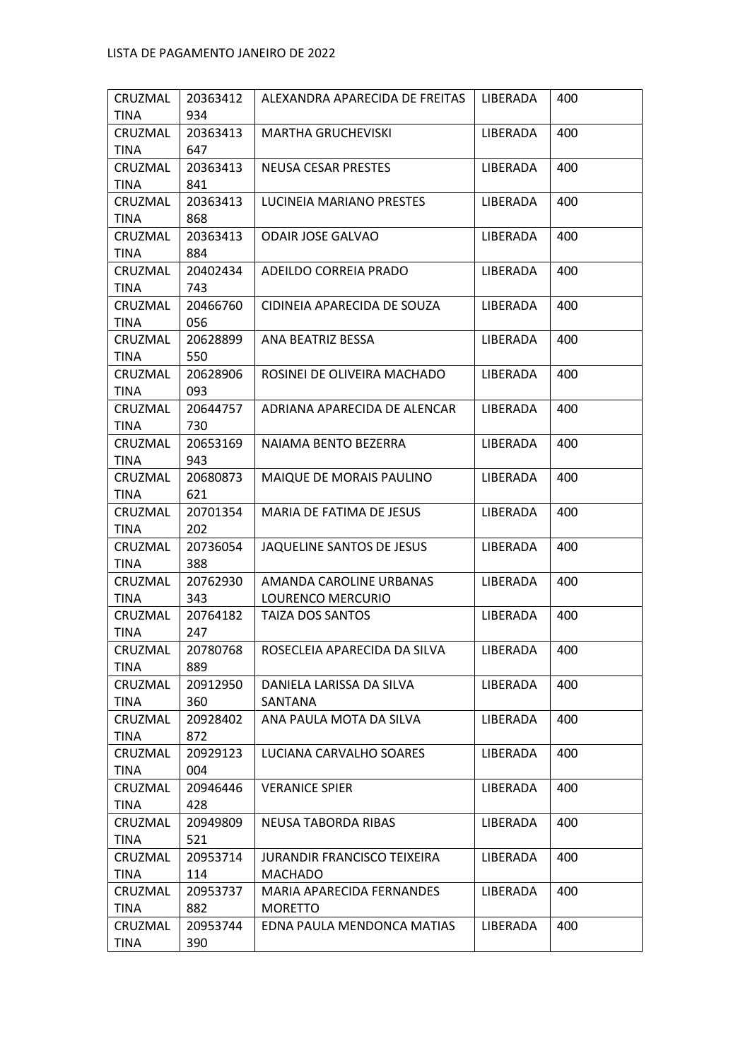| CRUZMAL     | 20363412 | ALEXANDRA APARECIDA DE FREITAS     | LIBERADA | 400 |
|-------------|----------|------------------------------------|----------|-----|
| <b>TINA</b> | 934      |                                    |          |     |
| CRUZMAL     | 20363413 | <b>MARTHA GRUCHEVISKI</b>          | LIBERADA | 400 |
| <b>TINA</b> | 647      |                                    |          |     |
| CRUZMAL     | 20363413 | <b>NEUSA CESAR PRESTES</b>         | LIBERADA | 400 |
| <b>TINA</b> | 841      |                                    |          |     |
| CRUZMAL     | 20363413 | LUCINEIA MARIANO PRESTES           | LIBERADA | 400 |
| <b>TINA</b> | 868      |                                    |          |     |
| CRUZMAL     | 20363413 | <b>ODAIR JOSE GALVAO</b>           | LIBERADA | 400 |
| <b>TINA</b> | 884      |                                    |          |     |
| CRUZMAL     | 20402434 | ADEILDO CORREIA PRADO              | LIBERADA | 400 |
| TINA        | 743      |                                    |          |     |
| CRUZMAL     | 20466760 | CIDINEIA APARECIDA DE SOUZA        | LIBERADA | 400 |
| <b>TINA</b> | 056      |                                    |          |     |
| CRUZMAL     | 20628899 | ANA BEATRIZ BESSA                  | LIBERADA | 400 |
| <b>TINA</b> | 550      |                                    |          |     |
| CRUZMAL     | 20628906 | ROSINEI DE OLIVEIRA MACHADO        | LIBERADA | 400 |
| <b>TINA</b> | 093      |                                    |          |     |
| CRUZMAL     | 20644757 | ADRIANA APARECIDA DE ALENCAR       | LIBERADA | 400 |
| <b>TINA</b> | 730      |                                    |          |     |
| CRUZMAL     | 20653169 | NAIAMA BENTO BEZERRA               | LIBERADA | 400 |
| TINA        | 943      |                                    |          |     |
| CRUZMAL     | 20680873 | MAIQUE DE MORAIS PAULINO           | LIBERADA | 400 |
| <b>TINA</b> | 621      |                                    |          |     |
| CRUZMAL     | 20701354 | MARIA DE FATIMA DE JESUS           | LIBERADA | 400 |
| <b>TINA</b> | 202      |                                    |          |     |
| CRUZMAL     | 20736054 | JAQUELINE SANTOS DE JESUS          | LIBERADA | 400 |
| <b>TINA</b> | 388      |                                    |          |     |
| CRUZMAL     | 20762930 | AMANDA CAROLINE URBANAS            | LIBERADA | 400 |
| <b>TINA</b> | 343      | LOURENCO MERCURIO                  |          |     |
| CRUZMAL     | 20764182 | TAIZA DOS SANTOS                   | LIBERADA | 400 |
| <b>TINA</b> | 247      |                                    |          |     |
| CRUZMAL     | 20780768 | ROSECLEIA APARECIDA DA SILVA       | LIBERADA | 400 |
| TINA        | 889      |                                    |          |     |
| CRUZMAL     | 20912950 | DANIELA LARISSA DA SILVA           | LIBERADA | 400 |
| TINA        | 360      | SANTANA                            |          |     |
| CRUZMAL     | 20928402 | ANA PAULA MOTA DA SILVA            | LIBERADA | 400 |
| TINA        | 872      |                                    |          |     |
| CRUZMAL     | 20929123 | LUCIANA CARVALHO SOARES            | LIBERADA | 400 |
| TINA        | 004      |                                    |          |     |
| CRUZMAL     | 20946446 | <b>VERANICE SPIER</b>              | LIBERADA | 400 |
| TINA        | 428      |                                    |          |     |
| CRUZMAL     | 20949809 | NEUSA TABORDA RIBAS                | LIBERADA | 400 |
| TINA        | 521      |                                    |          |     |
| CRUZMAL     | 20953714 | <b>JURANDIR FRANCISCO TEIXEIRA</b> | LIBERADA | 400 |
| <b>TINA</b> | 114      | <b>MACHADO</b>                     |          |     |
| CRUZMAL     | 20953737 | MARIA APARECIDA FERNANDES          | LIBERADA | 400 |
| TINA        | 882      | <b>MORETTO</b>                     |          |     |
| CRUZMAL     | 20953744 | EDNA PAULA MENDONCA MATIAS         | LIBERADA | 400 |
| <b>TINA</b> | 390      |                                    |          |     |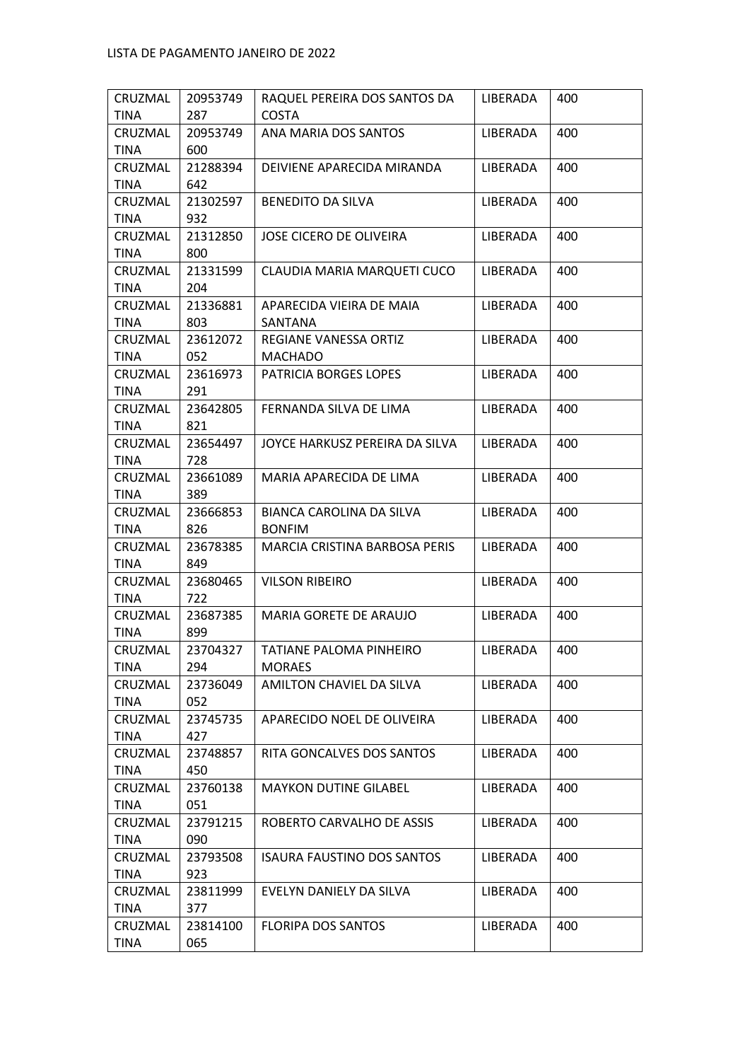| CRUZMAL         | 20953749        | RAQUEL PEREIRA DOS SANTOS DA      | LIBERADA | 400 |
|-----------------|-----------------|-----------------------------------|----------|-----|
| <b>TINA</b>     | 287             | <b>COSTA</b>                      |          |     |
| CRUZMAL         | 20953749        | ANA MARIA DOS SANTOS              | LIBERADA | 400 |
| <b>TINA</b>     | 600             |                                   |          |     |
| CRUZMAL         | 21288394        | DEIVIENE APARECIDA MIRANDA        | LIBERADA | 400 |
| <b>TINA</b>     | 642             |                                   |          |     |
| CRUZMAL         | 21302597        | BENEDITO DA SILVA                 | LIBERADA | 400 |
| <b>TINA</b>     | 932             |                                   |          |     |
| CRUZMAL         | 21312850        | JOSE CICERO DE OLIVEIRA           | LIBERADA | 400 |
| TINA            | 800             |                                   |          |     |
| CRUZMAL         | 21331599        | CLAUDIA MARIA MARQUETI CUCO       | LIBERADA | 400 |
| <b>TINA</b>     | 204             |                                   |          |     |
| CRUZMAL         | 21336881        | APARECIDA VIEIRA DE MAIA          | LIBERADA | 400 |
| <b>TINA</b>     | 803             | SANTANA                           |          |     |
| CRUZMAL         | 23612072        | REGIANE VANESSA ORTIZ             | LIBERADA | 400 |
| <b>TINA</b>     | 052             | <b>MACHADO</b>                    |          |     |
| CRUZMAL         | 23616973        | PATRICIA BORGES LOPES             | LIBERADA | 400 |
| TINA            | 291             |                                   |          |     |
| CRUZMAL         | 23642805        | FERNANDA SILVA DE LIMA            | LIBERADA | 400 |
| <b>TINA</b>     | 821             |                                   |          |     |
| CRUZMAL         | 23654497        | JOYCE HARKUSZ PEREIRA DA SILVA    | LIBERADA | 400 |
| <b>TINA</b>     | 728             |                                   |          |     |
| CRUZMAL         | 23661089        | MARIA APARECIDA DE LIMA           | LIBERADA | 400 |
| <b>TINA</b>     | 389             |                                   |          |     |
| CRUZMAL         | 23666853        | BIANCA CAROLINA DA SILVA          | LIBERADA | 400 |
| TINA            | 826             | <b>BONFIM</b>                     |          |     |
| CRUZMAL         | 23678385        | MARCIA CRISTINA BARBOSA PERIS     | LIBERADA | 400 |
| <b>TINA</b>     | 849             |                                   |          |     |
| CRUZMAL         | 23680465        | <b>VILSON RIBEIRO</b>             | LIBERADA | 400 |
| <b>TINA</b>     | 722             |                                   |          |     |
|                 |                 |                                   |          |     |
| CRUZMAL         | 23687385        | MARIA GORETE DE ARAUJO            | LIBERADA | 400 |
| <b>TINA</b>     | 899             |                                   |          |     |
| CRUZMAL         | 23704327        | TATIANE PALOMA PINHEIRO           | LIBERADA | 400 |
| TINA            | 294             | <b>MORAES</b>                     |          |     |
| CRUZMAL         | 23736049        | AMILTON CHAVIEL DA SILVA          | LIBERADA | 400 |
| TINA            | 052             |                                   |          |     |
| CRUZMAL         | 23745735        | APARECIDO NOEL DE OLIVEIRA        | LIBERADA | 400 |
| <b>TINA</b>     | 427             |                                   |          |     |
| CRUZMAL         | 23748857        | RITA GONCALVES DOS SANTOS         | LIBERADA | 400 |
| TINA            | 450             |                                   |          |     |
| CRUZMAL         | 23760138        | <b>MAYKON DUTINE GILABEL</b>      | LIBERADA | 400 |
| <b>TINA</b>     | 051             |                                   |          |     |
| CRUZMAL         | 23791215        | ROBERTO CARVALHO DE ASSIS         | LIBERADA | 400 |
| <b>TINA</b>     | 090             |                                   |          |     |
| CRUZMAL         | 23793508        | <b>ISAURA FAUSTINO DOS SANTOS</b> | LIBERADA | 400 |
| <b>TINA</b>     | 923             |                                   |          |     |
| CRUZMAL         | 23811999        | EVELYN DANIELY DA SILVA           | LIBERADA | 400 |
| <b>TINA</b>     | 377             |                                   |          |     |
| CRUZMAL<br>TINA | 23814100<br>065 | FLORIPA DOS SANTOS                | LIBERADA | 400 |